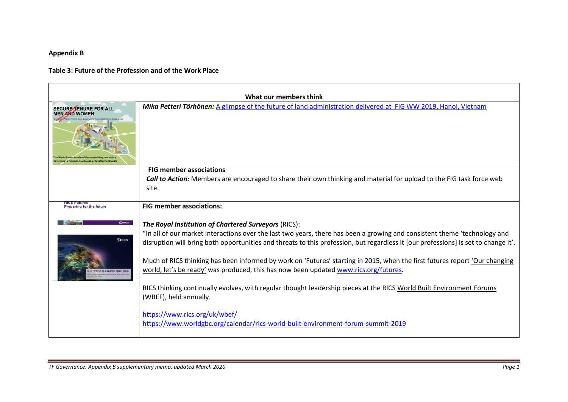## **Appendix B**

## **Table 3: Future of the Profession and of the Work Place**

| <b>SECURE TENURE FOR ALL</b><br><b>MEN AND WOMEN</b> | What our members think<br>Mika Petteri Törhönen: A glimpse of the future of land administration delivered at FIG WW 2019, Hanoi, Vietnam                                                                                                                                                                                                                                                                                                                                                                                                                                                                                                                                                        |  |  |
|------------------------------------------------------|-------------------------------------------------------------------------------------------------------------------------------------------------------------------------------------------------------------------------------------------------------------------------------------------------------------------------------------------------------------------------------------------------------------------------------------------------------------------------------------------------------------------------------------------------------------------------------------------------------------------------------------------------------------------------------------------------|--|--|
|                                                      | <b>FIG member associations</b><br><b>Call to Action:</b> Members are encouraged to share their own thinking and material for upload to the FIG task force web<br>site.                                                                                                                                                                                                                                                                                                                                                                                                                                                                                                                          |  |  |
| <b>Preparing for the future</b>                      | <b>FIG member associations:</b>                                                                                                                                                                                                                                                                                                                                                                                                                                                                                                                                                                                                                                                                 |  |  |
| <b>QRICS</b><br><b>QRICS</b>                         | The Royal Institution of Chartered Surveyors (RICS):<br>"In all of our market interactions over the last two years, there has been a growing and consistent theme 'technology and<br>disruption will bring both opportunities and threats to this profession, but regardless it [our professions] is set to change it'.<br>Much of RICS thinking has been informed by work on 'Futures' starting in 2015, when the first futures report 'Our changing<br>world, let's be ready' was produced, this has now been updated www.rics.org/futures.<br>RICS thinking continually evolves, with regular thought leadership pieces at the RICS World Built Environment Forums<br>(WBEF), held annually. |  |  |
|                                                      | https://www.rics.org/uk/wbef/<br>https://www.worldgbc.org/calendar/rics-world-built-environment-forum-summit-2019                                                                                                                                                                                                                                                                                                                                                                                                                                                                                                                                                                               |  |  |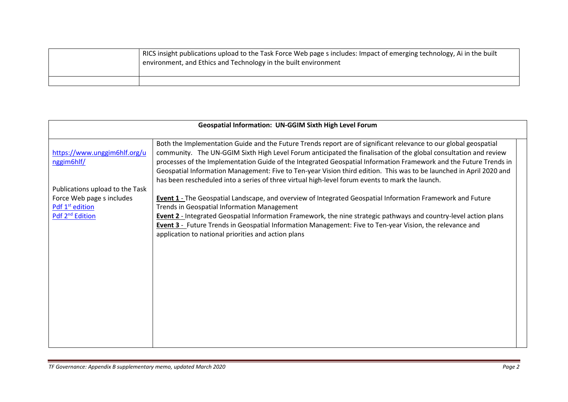| RICS insight publications upload to the Task Force Web page s includes: Impact of emerging technology, Ai in the built<br><sup>1</sup> environment, and Ethics and Technology in the built environment |
|--------------------------------------------------------------------------------------------------------------------------------------------------------------------------------------------------------|
|                                                                                                                                                                                                        |

| <b>Geospatial Information: UN-GGIM Sixth High Level Forum</b>                                                              |                                                                                                                                                                                                                                                                                                                                                                                                                                                                                                                                                                                     |  |
|----------------------------------------------------------------------------------------------------------------------------|-------------------------------------------------------------------------------------------------------------------------------------------------------------------------------------------------------------------------------------------------------------------------------------------------------------------------------------------------------------------------------------------------------------------------------------------------------------------------------------------------------------------------------------------------------------------------------------|--|
| https://www.unggim6hlf.org/u<br>nggim6hlf/                                                                                 | Both the Implementation Guide and the Future Trends report are of significant relevance to our global geospatial<br>community. The UN-GGIM Sixth High Level Forum anticipated the finalisation of the global consultation and review<br>processes of the Implementation Guide of the Integrated Geospatial Information Framework and the Future Trends in<br>Geospatial Information Management: Five to Ten-year Vision third edition. This was to be launched in April 2020 and<br>has been rescheduled into a series of three virtual high-level forum events to mark the launch. |  |
| Publications upload to the Task<br>Force Web page s includes<br>Pdf 1 <sup>st</sup> edition<br>Pdf 2 <sup>nd</sup> Edition | Event 1 - The Geospatial Landscape, and overview of Integrated Geospatial Information Framework and Future<br>Trends in Geospatial Information Management<br><b>Event 2</b> - Integrated Geospatial Information Framework, the nine strategic pathways and country-level action plans<br>Event 3 - Future Trends in Geospatial Information Management: Five to Ten-year Vision, the relevance and<br>application to national priorities and action plans                                                                                                                            |  |
|                                                                                                                            |                                                                                                                                                                                                                                                                                                                                                                                                                                                                                                                                                                                     |  |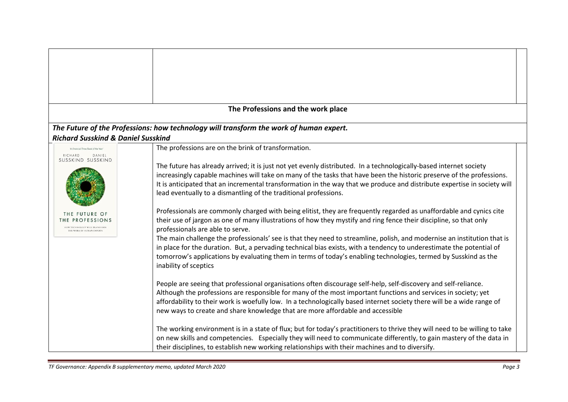|                                                                                      | The Professions and the work place                                                                                                                                                                                                                                                                                                                     |
|--------------------------------------------------------------------------------------|--------------------------------------------------------------------------------------------------------------------------------------------------------------------------------------------------------------------------------------------------------------------------------------------------------------------------------------------------------|
| <b>Richard Susskind &amp; Daniel Susskind</b>                                        | The Future of the Professions: how technology will transform the work of human expert.                                                                                                                                                                                                                                                                 |
| "A Financial Times Book of the Year"                                                 | The professions are on the brink of transformation.                                                                                                                                                                                                                                                                                                    |
| RICHARD<br>DANIEL<br>SUSSKIND SUSSKIND                                               |                                                                                                                                                                                                                                                                                                                                                        |
|                                                                                      | The future has already arrived; it is just not yet evenly distributed. In a technologically-based internet society                                                                                                                                                                                                                                     |
|                                                                                      | increasingly capable machines will take on many of the tasks that have been the historic preserve of the professions.                                                                                                                                                                                                                                  |
|                                                                                      | It is anticipated that an incremental transformation in the way that we produce and distribute expertise in society will<br>lead eventually to a dismantling of the traditional professions.                                                                                                                                                           |
| THE FUTURE OF                                                                        | Professionals are commonly charged with being elitist, they are frequently regarded as unaffordable and cynics cite                                                                                                                                                                                                                                    |
| THE PROFESSIONS<br><b>IOW TECHNOLOGY WILL TRANSFORM</b><br>THE WORK OF HUMAN EXPERTS | their use of jargon as one of many illustrations of how they mystify and ring fence their discipline, so that only<br>professionals are able to serve.                                                                                                                                                                                                 |
|                                                                                      | The main challenge the professionals' see is that they need to streamline, polish, and modernise an institution that is                                                                                                                                                                                                                                |
|                                                                                      | in place for the duration. But, a pervading technical bias exists, with a tendency to underestimate the potential of<br>tomorrow's applications by evaluating them in terms of today's enabling technologies, termed by Susskind as the<br>inability of sceptics                                                                                       |
|                                                                                      | People are seeing that professional organisations often discourage self-help, self-discovery and self-reliance.                                                                                                                                                                                                                                        |
|                                                                                      | Although the professions are responsible for many of the most important functions and services in society; yet                                                                                                                                                                                                                                         |
|                                                                                      | affordability to their work is woefully low. In a technologically based internet society there will be a wide range of<br>new ways to create and share knowledge that are more affordable and accessible                                                                                                                                               |
|                                                                                      | The working environment is in a state of flux; but for today's practitioners to thrive they will need to be willing to take<br>on new skills and competencies. Especially they will need to communicate differently, to gain mastery of the data in<br>their disciplines, to establish new working relationships with their machines and to diversify. |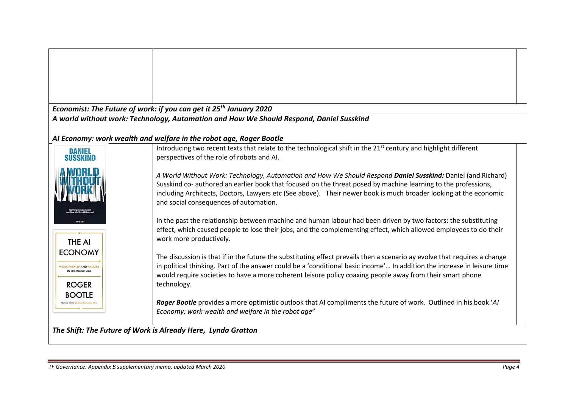|                                                            | Economist: The Future of work: if you can get it 25 <sup>th</sup> January 2020                                              |
|------------------------------------------------------------|-----------------------------------------------------------------------------------------------------------------------------|
|                                                            | A world without work: Technology, Automation and How We Should Respond, Daniel Susskind                                     |
|                                                            | Al Economy: work wealth and welfare in the robot age, Roger Bootle                                                          |
|                                                            | Introducing two recent texts that relate to the technological shift in the 21 <sup>st</sup> century and highlight different |
| <b>DANIEL</b>                                              | perspectives of the role of robots and AI.                                                                                  |
|                                                            |                                                                                                                             |
|                                                            | A World Without Work: Technology, Automation and How We Should Respond Daniel Susskind: Daniel (and Richard)                |
|                                                            | Susskind co- authored an earlier book that focused on the threat posed by machine learning to the professions,              |
|                                                            | including Architects, Doctors, Lawyers etc (See above). Their newer book is much broader looking at the economic            |
|                                                            | and social consequences of automation.                                                                                      |
|                                                            | In the past the relationship between machine and human labour had been driven by two factors: the substituting              |
|                                                            | effect, which caused people to lose their jobs, and the complementing effect, which allowed employees to do their           |
| <b>THE AI</b>                                              | work more productively.                                                                                                     |
| <b>ECONOMY</b>                                             |                                                                                                                             |
|                                                            | The discussion is that if in the future the substituting effect prevails then a scenario ay evolve that requires a change   |
| <b><i>NORK, WEALTH AND WELFARE</i></b><br>IN THE ROBOT AGE | in political thinking. Part of the answer could be a 'conditional basic income' In addition the increase in leisure time    |
| <b>ROGER</b>                                               | would require societies to have a more coherent leisure policy coaxing people away from their smart phone<br>technology.    |
| <b>BOOTLE</b>                                              |                                                                                                                             |
|                                                            | Roger Bootle provides a more optimistic outlook that AI compliments the future of work. Outlined in his book 'AI            |
|                                                            | Economy: work wealth and welfare in the robot age"                                                                          |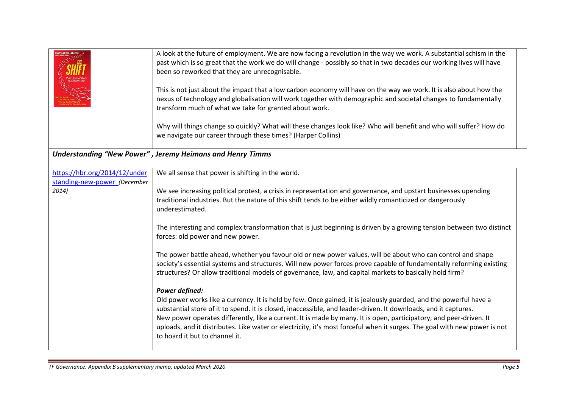|                                                               | A look at the future of employment. We are now facing a revolution in the way we work. A substantial schism in the<br>past which is so great that the work we do will change - possibly so that in two decades our working lives will have<br>been so reworked that they are unrecognisable.<br>This is not just about the impact that a low carbon economy will have on the way we work. It is also about how the<br>nexus of technology and globalisation will work together with demographic and societal changes to fundamentally<br>transform much of what we take for granted about work.<br>Why will things change so quickly? What will these changes look like? Who will benefit and who will suffer? How do<br>we navigate our career through these times? (Harper Collins) |
|---------------------------------------------------------------|---------------------------------------------------------------------------------------------------------------------------------------------------------------------------------------------------------------------------------------------------------------------------------------------------------------------------------------------------------------------------------------------------------------------------------------------------------------------------------------------------------------------------------------------------------------------------------------------------------------------------------------------------------------------------------------------------------------------------------------------------------------------------------------|
|                                                               | Understanding "New Power", Jeremy Heimans and Henry Timms                                                                                                                                                                                                                                                                                                                                                                                                                                                                                                                                                                                                                                                                                                                             |
| https://hbr.org/2014/12/under<br>standing-new-power (December | We all sense that power is shifting in the world.                                                                                                                                                                                                                                                                                                                                                                                                                                                                                                                                                                                                                                                                                                                                     |
| 2014)                                                         | We see increasing political protest, a crisis in representation and governance, and upstart businesses upending<br>traditional industries. But the nature of this shift tends to be either wildly romanticized or dangerously<br>underestimated.                                                                                                                                                                                                                                                                                                                                                                                                                                                                                                                                      |
|                                                               | The interesting and complex transformation that is just beginning is driven by a growing tension between two distinct<br>forces: old power and new power.                                                                                                                                                                                                                                                                                                                                                                                                                                                                                                                                                                                                                             |
|                                                               | The power battle ahead, whether you favour old or new power values, will be about who can control and shape<br>society's essential systems and structures. Will new power forces prove capable of fundamentally reforming existing<br>structures? Or allow traditional models of governance, law, and capital markets to basically hold firm?                                                                                                                                                                                                                                                                                                                                                                                                                                         |
|                                                               | Power defined:<br>Old power works like a currency. It is held by few. Once gained, it is jealously guarded, and the powerful have a<br>substantial store of it to spend. It is closed, inaccessible, and leader-driven. It downloads, and it captures.<br>New power operates differently, like a current. It is made by many. It is open, participatory, and peer-driven. It<br>uploads, and it distributes. Like water or electricity, it's most forceful when it surges. The goal with new power is not<br>to hoard it but to channel it.                                                                                                                                                                                                                                           |